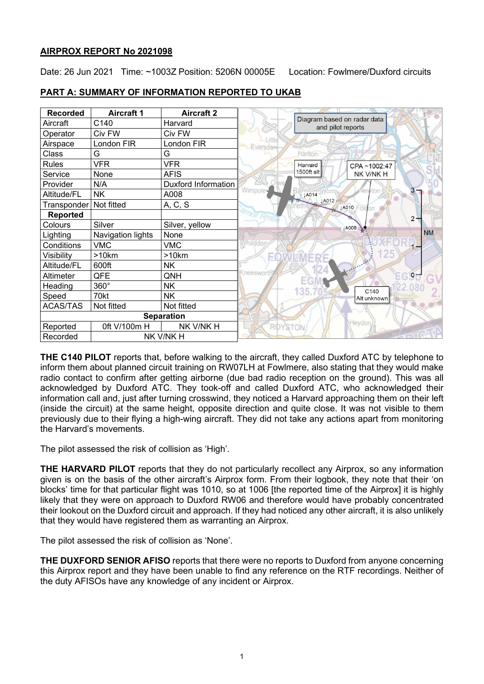# **AIRPROX REPORT No 2021098**

Date: 26 Jun 2021 Time: ~1003Z Position: 5206N 00005E Location: Fowlmere/Duxford circuits

| <b>Recorded</b>       | <b>Aircraft 1</b> | <b>Aircraft 2</b>          |                          |                                                  |                  |           |
|-----------------------|-------------------|----------------------------|--------------------------|--------------------------------------------------|------------------|-----------|
| Aircraft              | C140              | Harvard                    |                          | Diagram based on radar data<br>and pilot reports |                  |           |
| Operator              | Civ FW            | Civ FW                     |                          |                                                  |                  |           |
| Airspace              | London FIR        | London FIR                 | Eversde                  |                                                  |                  |           |
| Class                 | G                 | G                          |                          | Hariton                                          |                  |           |
| <b>Rules</b>          | <b>VFR</b>        | <b>VFR</b>                 |                          | Harvard                                          | CPA~1002:47      |           |
| Service               | None              | <b>AFIS</b>                |                          | 1500ft alt                                       | NK V/NK H        |           |
| Provider              | N/A               | <b>Duxford Information</b> |                          |                                                  |                  |           |
| Altitude/FL           | <b>NK</b>         | A008                       | Nimpole                  | LA014                                            |                  | 3         |
| Transponder           | Not fitted        | A, C, S                    |                          | JA012                                            | <b>LA010</b>     |           |
| <b>Reported</b>       |                   |                            |                          |                                                  |                  | $2 -$     |
| Colours               | Silver            | Silver, yellow             |                          |                                                  | <b>LA008</b>     |           |
| Lighting              | Navigation lights | None                       |                          |                                                  |                  | <b>NM</b> |
| Conditions            | <b>VMC</b>        | <b>VMC</b>                 | haddor                   |                                                  |                  | $1 -$     |
| Visibility            | >10km             | >10km                      | $\mathbf{E}(\mathbf{0})$ |                                                  | 125              |           |
| Altitude/FL           | 600ft             | <b>NK</b>                  |                          |                                                  |                  |           |
| Altimeter             | QFE               | QNH                        | neeswor                  |                                                  |                  | $O -$     |
| Heading               | 360°              | <b>NK</b>                  |                          |                                                  | C <sub>140</sub> |           |
| Speed                 | 70kt              | <b>NK</b>                  |                          | 135.                                             | Alt unknown      |           |
| <b>ACAS/TAS</b>       | Not fitted        | Not fitted                 |                          |                                                  |                  |           |
| <b>Separation</b>     |                   |                            |                          |                                                  |                  |           |
| Reported              | 0ft V/100m H      | NK V/NK H                  | <b>ROYSTON</b>           |                                                  | Heydon           |           |
| Recorded<br>NK V/NK H |                   |                            |                          |                                                  |                  |           |

# **PART A: SUMMARY OF INFORMATION REPORTED TO UKAB**

**THE C140 PILOT** reports that, before walking to the aircraft, they called Duxford ATC by telephone to inform them about planned circuit training on RW07LH at Fowlmere, also stating that they would make radio contact to confirm after getting airborne (due bad radio reception on the ground). This was all acknowledged by Duxford ATC. They took-off and called Duxford ATC, who acknowledged their information call and, just after turning crosswind, they noticed a Harvard approaching them on their left (inside the circuit) at the same height, opposite direction and quite close. It was not visible to them previously due to their flying a high-wing aircraft. They did not take any actions apart from monitoring the Harvard's movements.

The pilot assessed the risk of collision as 'High'.

**THE HARVARD PILOT** reports that they do not particularly recollect any Airprox, so any information given is on the basis of the other aircraft's Airprox form. From their logbook, they note that their 'on blocks' time for that particular flight was 1010, so at 1006 [the reported time of the Airprox] it is highly likely that they were on approach to Duxford RW06 and therefore would have probably concentrated their lookout on the Duxford circuit and approach. If they had noticed any other aircraft, it is also unlikely that they would have registered them as warranting an Airprox.

The pilot assessed the risk of collision as 'None'.

**THE DUXFORD SENIOR AFISO** reports that there were no reports to Duxford from anyone concerning this Airprox report and they have been unable to find any reference on the RTF recordings. Neither of the duty AFISOs have any knowledge of any incident or Airprox.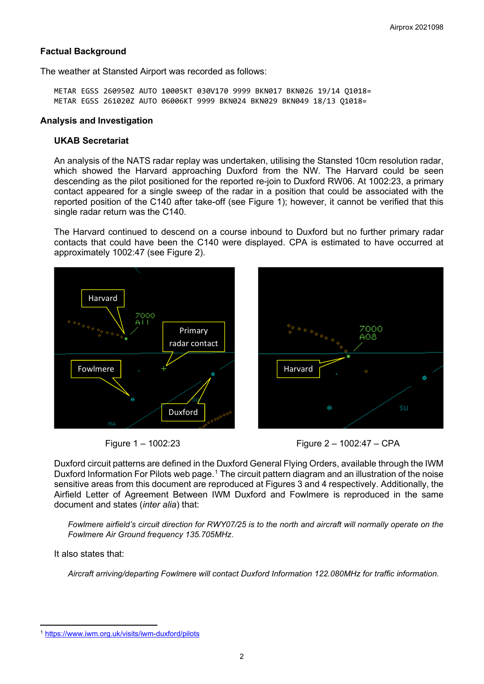## **Factual Background**

The weather at Stansted Airport was recorded as follows:

METAR EGSS 260950Z AUTO 10005KT 030V170 9999 BKN017 BKN026 19/14 Q1018= METAR EGSS 261020Z AUTO 06006KT 9999 BKN024 BKN029 BKN049 18/13 Q1018=

#### **Analysis and Investigation**

# **UKAB Secretariat**

An analysis of the NATS radar replay was undertaken, utilising the Stansted 10cm resolution radar, which showed the Harvard approaching Duxford from the NW. The Harvard could be seen descending as the pilot positioned for the reported re-join to Duxford RW06. At 1002:23, a primary contact appeared for a single sweep of the radar in a position that could be associated with the reported position of the C140 after take-off (see Figure 1); however, it cannot be verified that this single radar return was the C140.

The Harvard continued to descend on a course inbound to Duxford but no further primary radar contacts that could have been the C140 were displayed. CPA is estimated to have occurred at approximately 1002:47 (see Figure 2).









Duxford circuit patterns are defined in the Duxford General Flying Orders, available through the IWM Duxford Information For Pilots web page.<sup>[1](#page-1-0)</sup> The circuit pattern diagram and an illustration of the noise sensitive areas from this document are reproduced at Figures 3 and 4 respectively. Additionally, the Airfield Letter of Agreement Between IWM Duxford and Fowlmere is reproduced in the same document and states (*inter alia*) that:

*Fowlmere airfield's circuit direction for RWY07/25 is to the north and aircraft will normally operate on the Fowlmere Air Ground frequency 135.705MHz*.

It also states that:

*Aircraft arriving/departing Fowlmere will contact Duxford Information 122.080MHz for traffic information*.

<span id="page-1-0"></span><sup>1</sup> <https://www.iwm.org.uk/visits/iwm-duxford/pilots>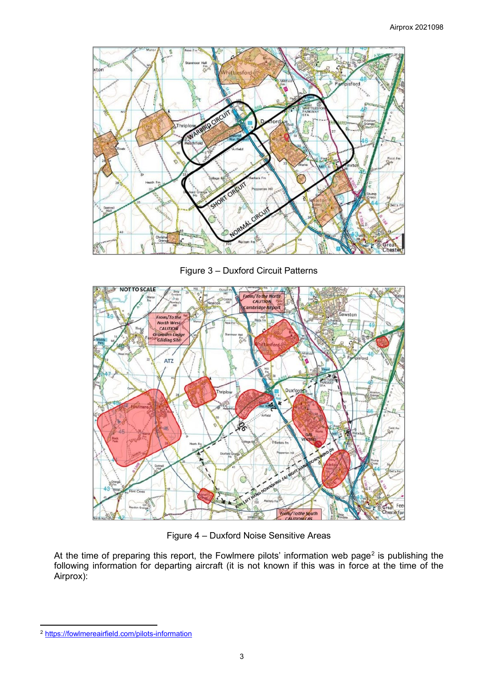

Figure 3 – Duxford Circuit Patterns



Figure 4 – Duxford Noise Sensitive Areas

At the time of preparing this report, the Fowlmere pilots' information web page<sup>[2](#page-2-0)</sup> is publishing the following information for departing aircraft (it is not known if this was in force at the time of the Airprox):

<span id="page-2-0"></span><sup>2</sup> <https://fowlmereairfield.com/pilots-information>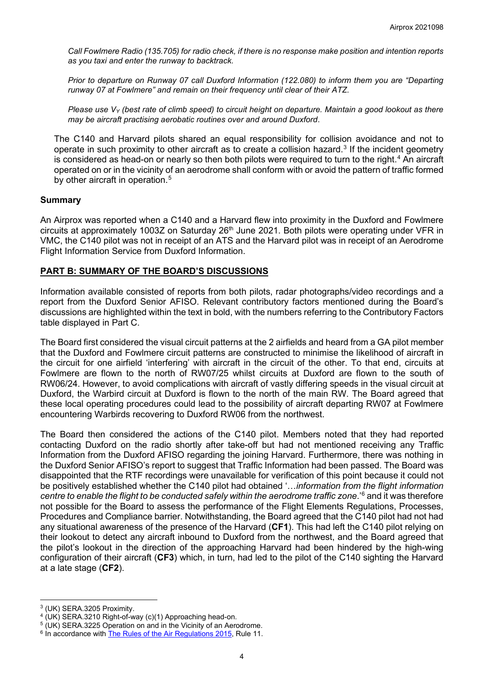*Call Fowlmere Radio (135.705) for radio check, if there is no response make position and intention reports as you taxi and enter the runway to backtrack.*

*Prior to departure on Runway 07 call Duxford Information (122.080) to inform them you are "Departing runway 07 at Fowlmere" and remain on their frequency until clear of their ATZ.*

*Please use VY (best rate of climb speed) to circuit height on departure. Maintain a good lookout as there may be aircraft practising aerobatic routines over and around Duxford*.

The C140 and Harvard pilots shared an equal responsibility for collision avoidance and not to operate in such proximity to other aircraft as to create a collision hazard.<sup>[3](#page-3-0)</sup> If the incident geometry is considered as head-on or nearly so then both pilots were required to turn to the right. [4](#page-3-1) An aircraft operated on or in the vicinity of an aerodrome shall conform with or avoid the pattern of traffic formed by other aircraft in operation. [5](#page-3-2)

### **Summary**

An Airprox was reported when a C140 and a Harvard flew into proximity in the Duxford and Fowlmere circuits at approximately 1003Z on Saturday  $26<sup>th</sup>$  June 2021. Both pilots were operating under VFR in VMC, the C140 pilot was not in receipt of an ATS and the Harvard pilot was in receipt of an Aerodrome Flight Information Service from Duxford Information.

## **PART B: SUMMARY OF THE BOARD'S DISCUSSIONS**

Information available consisted of reports from both pilots, radar photographs/video recordings and a report from the Duxford Senior AFISO. Relevant contributory factors mentioned during the Board's discussions are highlighted within the text in bold, with the numbers referring to the Contributory Factors table displayed in Part C.

The Board first considered the visual circuit patterns at the 2 airfields and heard from a GA pilot member that the Duxford and Fowlmere circuit patterns are constructed to minimise the likelihood of aircraft in the circuit for one airfield 'interfering' with aircraft in the circuit of the other. To that end, circuits at Fowlmere are flown to the north of RW07/25 whilst circuits at Duxford are flown to the south of RW06/24. However, to avoid complications with aircraft of vastly differing speeds in the visual circuit at Duxford, the Warbird circuit at Duxford is flown to the north of the main RW. The Board agreed that these local operating procedures could lead to the possibility of aircraft departing RW07 at Fowlmere encountering Warbirds recovering to Duxford RW06 from the northwest.

The Board then considered the actions of the C140 pilot. Members noted that they had reported contacting Duxford on the radio shortly after take-off but had not mentioned receiving any Traffic Information from the Duxford AFISO regarding the joining Harvard. Furthermore, there was nothing in the Duxford Senior AFISO's report to suggest that Traffic Information had been passed. The Board was disappointed that the RTF recordings were unavailable for verification of this point because it could not be positively established whether the C140 pilot had obtained '…*information from the flight information centre to enable the flight to be conducted safely within the aerodrome traffic zone*.' [6](#page-3-3) and it was therefore not possible for the Board to assess the performance of the Flight Elements Regulations, Processes, Procedures and Compliance barrier. Notwithstanding, the Board agreed that the C140 pilot had not had any situational awareness of the presence of the Harvard (**CF1**). This had left the C140 pilot relying on their lookout to detect any aircraft inbound to Duxford from the northwest, and the Board agreed that the pilot's lookout in the direction of the approaching Harvard had been hindered by the high-wing configuration of their aircraft (**CF3**) which, in turn, had led to the pilot of the C140 sighting the Harvard at a late stage (**CF2**).

<span id="page-3-0"></span><sup>3</sup> (UK) SERA.3205 Proximity.

<span id="page-3-1"></span><sup>4</sup> (UK) SERA.3210 Right-of-way (c)(1) Approaching head-on.

<span id="page-3-2"></span> $5$  (UK) SERA.3225 Operation on and in the Vicinity of an Aerodrome.

<span id="page-3-3"></span><sup>&</sup>lt;sup>6</sup> In accordance with **The Rules of the Air Regulations 2015**, Rule 11.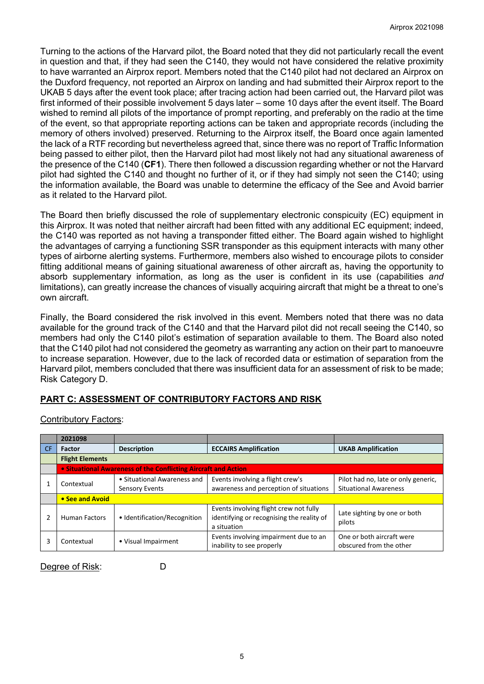Turning to the actions of the Harvard pilot, the Board noted that they did not particularly recall the event in question and that, if they had seen the C140, they would not have considered the relative proximity to have warranted an Airprox report. Members noted that the C140 pilot had not declared an Airprox on the Duxford frequency, not reported an Airprox on landing and had submitted their Airprox report to the UKAB 5 days after the event took place; after tracing action had been carried out, the Harvard pilot was first informed of their possible involvement 5 days later – some 10 days after the event itself. The Board wished to remind all pilots of the importance of prompt reporting, and preferably on the radio at the time of the event, so that appropriate reporting actions can be taken and appropriate records (including the memory of others involved) preserved. Returning to the Airprox itself, the Board once again lamented the lack of a RTF recording but nevertheless agreed that, since there was no report of Traffic Information being passed to either pilot, then the Harvard pilot had most likely not had any situational awareness of the presence of the C140 (**CF1**). There then followed a discussion regarding whether or not the Harvard pilot had sighted the C140 and thought no further of it, or if they had simply not seen the C140; using the information available, the Board was unable to determine the efficacy of the See and Avoid barrier as it related to the Harvard pilot.

The Board then briefly discussed the role of supplementary electronic conspicuity (EC) equipment in this Airprox. It was noted that neither aircraft had been fitted with any additional EC equipment; indeed, the C140 was reported as not having a transponder fitted either. The Board again wished to highlight the advantages of carrying a functioning SSR transponder as this equipment interacts with many other types of airborne alerting systems. Furthermore, members also wished to encourage pilots to consider fitting additional means of gaining situational awareness of other aircraft as, having the opportunity to absorb supplementary information, as long as the user is confident in its use (capabilities *and* limitations), can greatly increase the chances of visually acquiring aircraft that might be a threat to one's own aircraft.

Finally, the Board considered the risk involved in this event. Members noted that there was no data available for the ground track of the C140 and that the Harvard pilot did not recall seeing the C140, so members had only the C140 pilot's estimation of separation available to them. The Board also noted that the C140 pilot had not considered the geometry as warranting any action on their part to manoeuvre to increase separation. However, due to the lack of recorded data or estimation of separation from the Harvard pilot, members concluded that there was insufficient data for an assessment of risk to be made; Risk Category D.

# **PART C: ASSESSMENT OF CONTRIBUTORY FACTORS AND RISK**

| <b>Contributory Factors:</b> |  |
|------------------------------|--|
|                              |  |

|           | 2021098                                                        |                                                      |                                                                                                    |                                                                     |  |  |  |
|-----------|----------------------------------------------------------------|------------------------------------------------------|----------------------------------------------------------------------------------------------------|---------------------------------------------------------------------|--|--|--|
| <b>CF</b> | <b>Factor</b>                                                  | <b>Description</b>                                   | <b>ECCAIRS Amplification</b>                                                                       |                                                                     |  |  |  |
|           | <b>Flight Elements</b>                                         |                                                      |                                                                                                    |                                                                     |  |  |  |
|           | • Situational Awareness of the Conflicting Aircraft and Action |                                                      |                                                                                                    |                                                                     |  |  |  |
|           | Contextual                                                     | • Situational Awareness and<br><b>Sensory Events</b> | Events involving a flight crew's<br>awareness and perception of situations                         | Pilot had no, late or only generic,<br><b>Situational Awareness</b> |  |  |  |
|           | • See and Avoid                                                |                                                      |                                                                                                    |                                                                     |  |  |  |
|           | <b>Human Factors</b>                                           | • Identification/Recognition                         | Events involving flight crew not fully<br>identifying or recognising the reality of<br>a situation | Late sighting by one or both<br>pilots                              |  |  |  |
| 3         | Contextual                                                     | • Visual Impairment                                  | Events involving impairment due to an<br>inability to see properly                                 | One or both aircraft were<br>obscured from the other                |  |  |  |

Degree of Risk: D